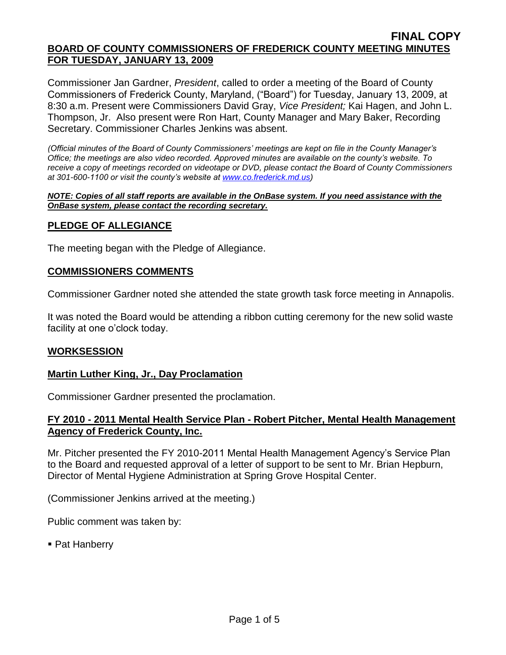Commissioner Jan Gardner, *President*, called to order a meeting of the Board of County Commissioners of Frederick County, Maryland, ("Board") for Tuesday, January 13, 2009, at 8:30 a.m. Present were Commissioners David Gray, *Vice President;* Kai Hagen, and John L. Thompson, Jr. Also present were Ron Hart, County Manager and Mary Baker, Recording Secretary. Commissioner Charles Jenkins was absent.

*(Official minutes of the Board of County Commissioners' meetings are kept on file in the County Manager's Office; the meetings are also video recorded. Approved minutes are available on the county's website. To receive a copy of meetings recorded on videotape or DVD, please contact the Board of County Commissioners at 301-600-1100 or visit the county's website at [www.co.frederick.md.us\)](http://www.co.frederick.md.us/)*

#### *NOTE: Copies of all staff reports are available in the OnBase system. If you need assistance with the OnBase system, please contact the recording secretary.*

# **PLEDGE OF ALLEGIANCE**

The meeting began with the Pledge of Allegiance.

### **COMMISSIONERS COMMENTS**

Commissioner Gardner noted she attended the state growth task force meeting in Annapolis.

It was noted the Board would be attending a ribbon cutting ceremony for the new solid waste facility at one o'clock today.

# **WORKSESSION**

# **Martin Luther King, Jr., Day Proclamation**

Commissioner Gardner presented the proclamation.

# **FY 2010 - 2011 Mental Health Service Plan - Robert Pitcher, Mental Health Management Agency of Frederick County, Inc.**

Mr. Pitcher presented the FY 2010-2011 Mental Health Management Agency's Service Plan to the Board and requested approval of a letter of support to be sent to Mr. Brian Hepburn, Director of Mental Hygiene Administration at Spring Grove Hospital Center.

(Commissioner Jenkins arrived at the meeting.)

Public comment was taken by:

■ Pat Hanberry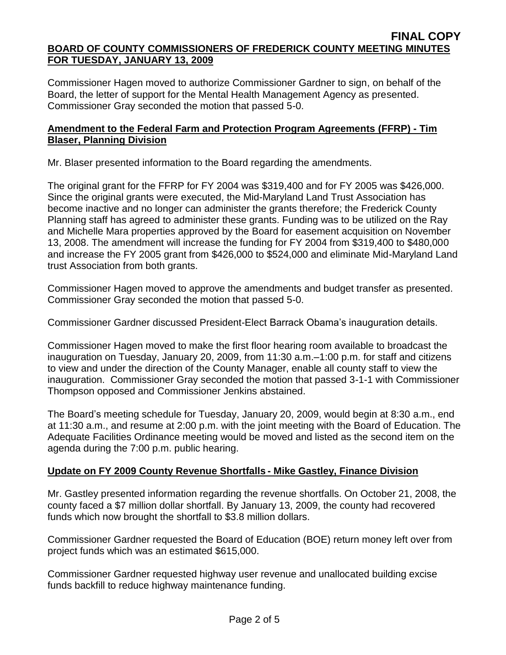Commissioner Hagen moved to authorize Commissioner Gardner to sign, on behalf of the Board, the letter of support for the Mental Health Management Agency as presented. Commissioner Gray seconded the motion that passed 5-0.

# **Amendment to the Federal Farm and Protection Program Agreements (FFRP) - Tim Blaser, Planning Division**

Mr. Blaser presented information to the Board regarding the amendments.

The original grant for the FFRP for FY 2004 was \$319,400 and for FY 2005 was \$426,000. Since the original grants were executed, the Mid-Maryland Land Trust Association has become inactive and no longer can administer the grants therefore; the Frederick County Planning staff has agreed to administer these grants. Funding was to be utilized on the Ray and Michelle Mara properties approved by the Board for easement acquisition on November 13, 2008. The amendment will increase the funding for FY 2004 from \$319,400 to \$480,000 and increase the FY 2005 grant from \$426,000 to \$524,000 and eliminate Mid-Maryland Land trust Association from both grants.

Commissioner Hagen moved to approve the amendments and budget transfer as presented. Commissioner Gray seconded the motion that passed 5-0.

Commissioner Gardner discussed President-Elect Barrack Obama's inauguration details.

Commissioner Hagen moved to make the first floor hearing room available to broadcast the inauguration on Tuesday, January 20, 2009, from 11:30 a.m.–1:00 p.m. for staff and citizens to view and under the direction of the County Manager, enable all county staff to view the inauguration. Commissioner Gray seconded the motion that passed 3-1-1 with Commissioner Thompson opposed and Commissioner Jenkins abstained.

The Board's meeting schedule for Tuesday, January 20, 2009, would begin at 8:30 a.m., end at 11:30 a.m., and resume at 2:00 p.m. with the joint meeting with the Board of Education. The Adequate Facilities Ordinance meeting would be moved and listed as the second item on the agenda during the 7:00 p.m. public hearing.

# **Update on FY 2009 County Revenue Shortfalls - Mike Gastley, Finance Division**

Mr. Gastley presented information regarding the revenue shortfalls. On October 21, 2008, the county faced a \$7 million dollar shortfall. By January 13, 2009, the county had recovered funds which now brought the shortfall to \$3.8 million dollars.

Commissioner Gardner requested the Board of Education (BOE) return money left over from project funds which was an estimated \$615,000.

Commissioner Gardner requested highway user revenue and unallocated building excise funds backfill to reduce highway maintenance funding.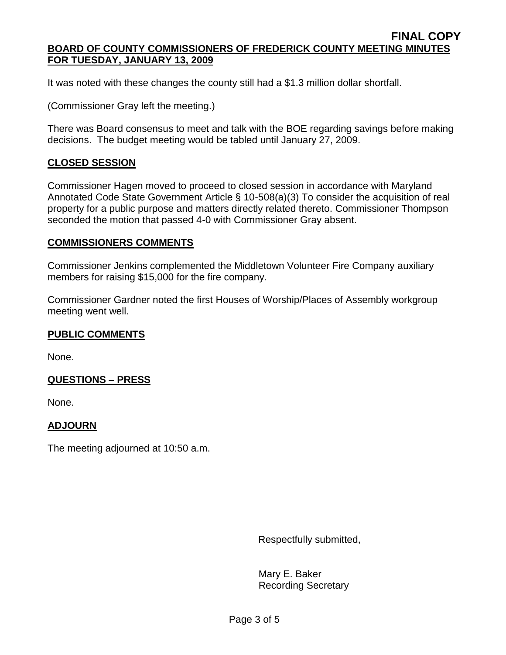It was noted with these changes the county still had a \$1.3 million dollar shortfall.

(Commissioner Gray left the meeting.)

There was Board consensus to meet and talk with the BOE regarding savings before making decisions. The budget meeting would be tabled until January 27, 2009.

### **CLOSED SESSION**

Commissioner Hagen moved to proceed to closed session in accordance with Maryland Annotated Code State Government Article § 10-508(a)(3) To consider the acquisition of real property for a public purpose and matters directly related thereto. Commissioner Thompson seconded the motion that passed 4-0 with Commissioner Gray absent.

#### **COMMISSIONERS COMMENTS**

Commissioner Jenkins complemented the Middletown Volunteer Fire Company auxiliary members for raising \$15,000 for the fire company.

Commissioner Gardner noted the first Houses of Worship/Places of Assembly workgroup meeting went well.

# **PUBLIC COMMENTS**

None.

# **QUESTIONS – PRESS**

None.

# **ADJOURN**

The meeting adjourned at 10:50 a.m.

Respectfully submitted,

Mary E. Baker Recording Secretary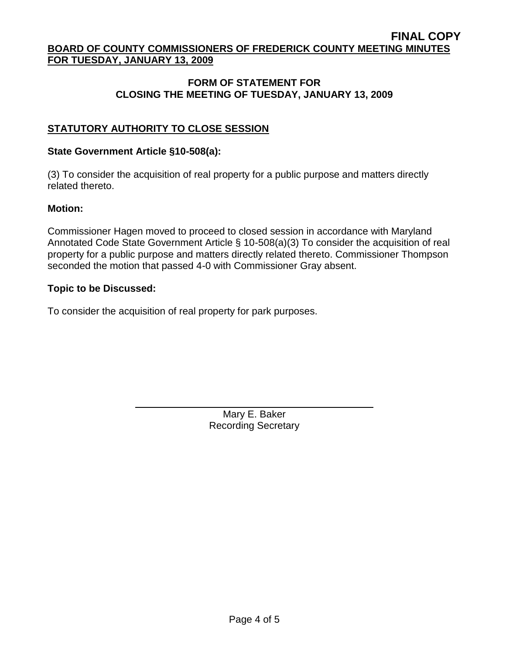# **FORM OF STATEMENT FOR CLOSING THE MEETING OF TUESDAY, JANUARY 13, 2009**

# **STATUTORY AUTHORITY TO CLOSE SESSION**

#### **State Government Article §10-508(a):**

(3) To consider the acquisition of real property for a public purpose and matters directly related thereto.

#### **Motion:**

Commissioner Hagen moved to proceed to closed session in accordance with Maryland Annotated Code State Government Article § 10-508(a)(3) To consider the acquisition of real property for a public purpose and matters directly related thereto. Commissioner Thompson seconded the motion that passed 4-0 with Commissioner Gray absent.

#### **Topic to be Discussed:**

To consider the acquisition of real property for park purposes.

Mary E. Baker Recording Secretary